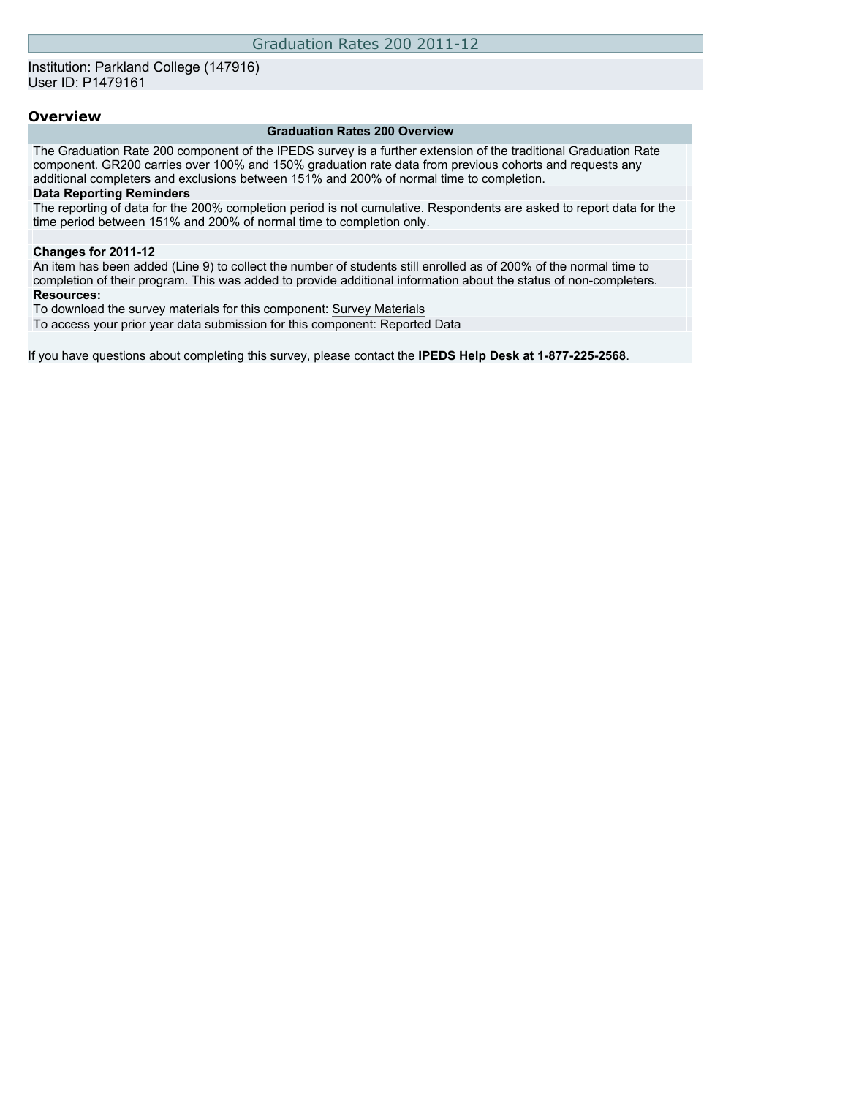### **Overview**

#### **Graduation Rates 200 Overview**

The Graduation Rate 200 component of the IPEDS survey is a further extension of the traditional Graduation Rate component. GR200 carries over 100% and 150% graduation rate data from previous cohorts and requests any additional completers and exclusions between 151% and 200% of normal time to completion.

#### **Data Reporting Reminders**

The reporting of data for the 200% completion period is not cumulative. Respondents are asked to report data for the time period between 151% and 200% of normal time to completion only.

#### **Changes for 2011-12**

An item has been added (Line 9) to collect the number of students still enrolled as of 200% of the normal time to completion of their program. This was added to provide additional information about the status of non-completers. **Resources:**

To download the survey materials for this component: [Survey Materials](https://surveys.nces.ed.gov/ipeds/VisIndex.aspx)

To access your prior year data submission for this component: [Reported Data](https://surveys.nces.ed.gov/IPEDS/PriorYearDataRedirect.aspx?survey_id=2)

If you have questions about completing this survey, please contact the **IPEDS Help Desk at 1-877-225-2568**.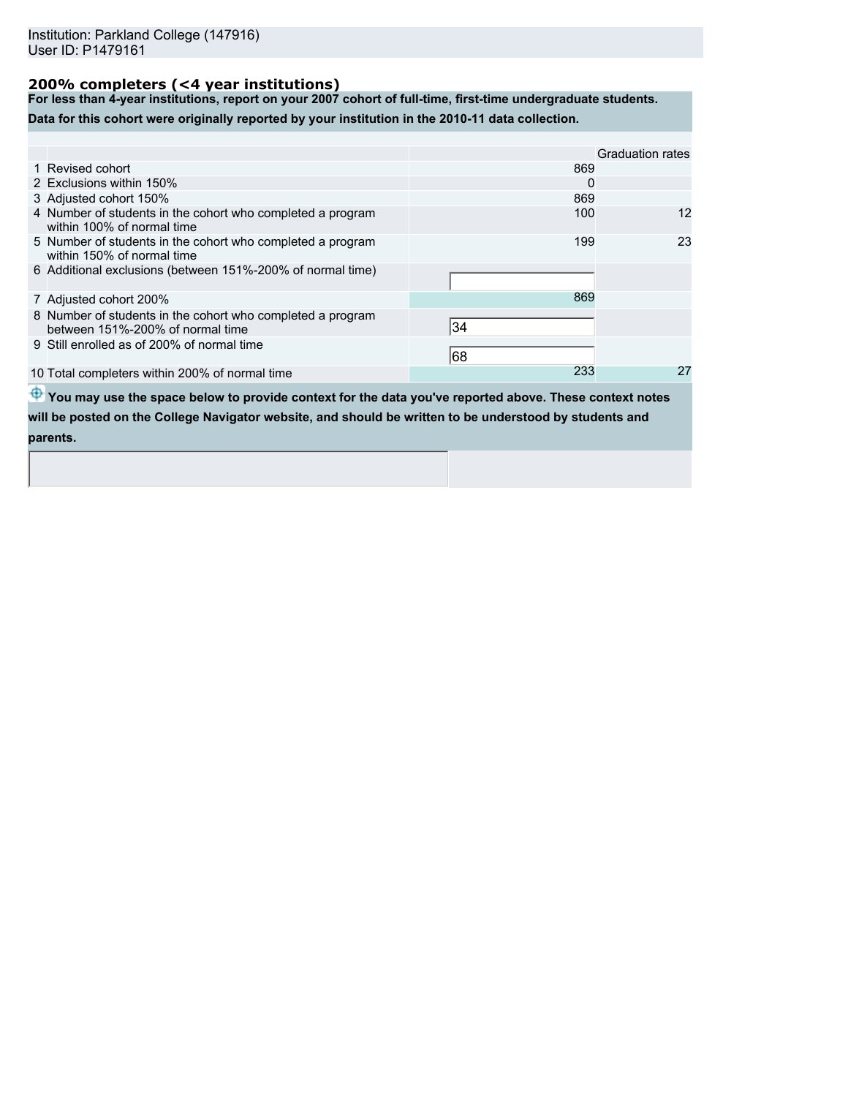# **200% completers (<4 year institutions)**

**For less than 4-year institutions, report on your 2007 cohort of full-time, first-time undergraduate students.**

**Data for this cohort were originally reported by your institution in the 2010-11 data collection.**

|                                                                                                |     | Graduation rates |
|------------------------------------------------------------------------------------------------|-----|------------------|
| 1 Revised cohort                                                                               | 869 |                  |
| 2 Exclusions within 150%                                                                       | 0   |                  |
| 3 Adjusted cohort 150%                                                                         | 869 |                  |
| 4 Number of students in the cohort who completed a program<br>within 100% of normal time       | 100 | 12               |
| 5 Number of students in the cohort who completed a program<br>within 150% of normal time       | 199 | 23               |
| 6 Additional exclusions (between 151%-200% of normal time)                                     |     |                  |
| 7 Adjusted cohort 200%                                                                         | 869 |                  |
| 8 Number of students in the cohort who completed a program<br>between 151%-200% of normal time | 34  |                  |
| 9 Still enrolled as of 200% of normal time                                                     | 68  |                  |
| 10 Total completers within 200% of normal time                                                 | 233 | 27               |

**<sup>4</sup>** You may use the space below to provide context for the data you've reported above. These context notes **will be posted on the College Navigator website, and should be written to be understood by students and parents.**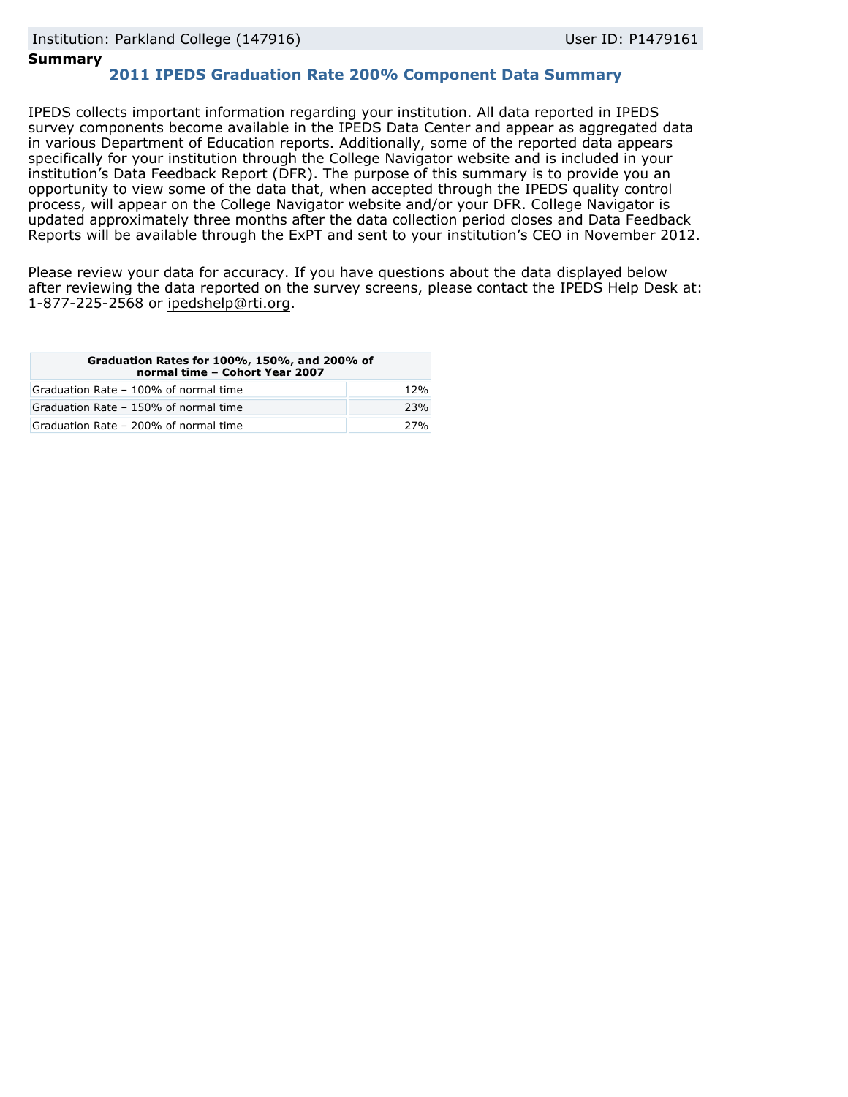## **Summary**

# **2011 IPEDS Graduation Rate 200% Component Data Summary**

IPEDS collects important information regarding your institution. All data reported in IPEDS survey components become available in the IPEDS Data Center and appear as aggregated data in various Department of Education reports. Additionally, some of the reported data appears specifically for your institution through the College Navigator website and is included in your institution's Data Feedback Report (DFR). The purpose of this summary is to provide you an opportunity to view some of the data that, when accepted through the IPEDS quality control process, will appear on the College Navigator website and/or your DFR. College Navigator is updated approximately three months after the data collection period closes and Data Feedback Reports will be available through the ExPT and sent to your institution's CEO in November 2012.

Please review your data for accuracy. If you have questions about the data displayed below after reviewing the data reported on the survey screens, please contact the IPEDS Help Desk at: 1-877-225-2568 or ipedshelp@rti.org.

| Graduation Rates for 100%, 150%, and 200% of<br>normal time - Cohort Year 2007 |     |  |  |
|--------------------------------------------------------------------------------|-----|--|--|
| Graduation Rate - 100% of normal time                                          | 12% |  |  |
| Graduation Rate - 150% of normal time                                          | 23% |  |  |
| Graduation Rate - 200% of normal time                                          | 27% |  |  |